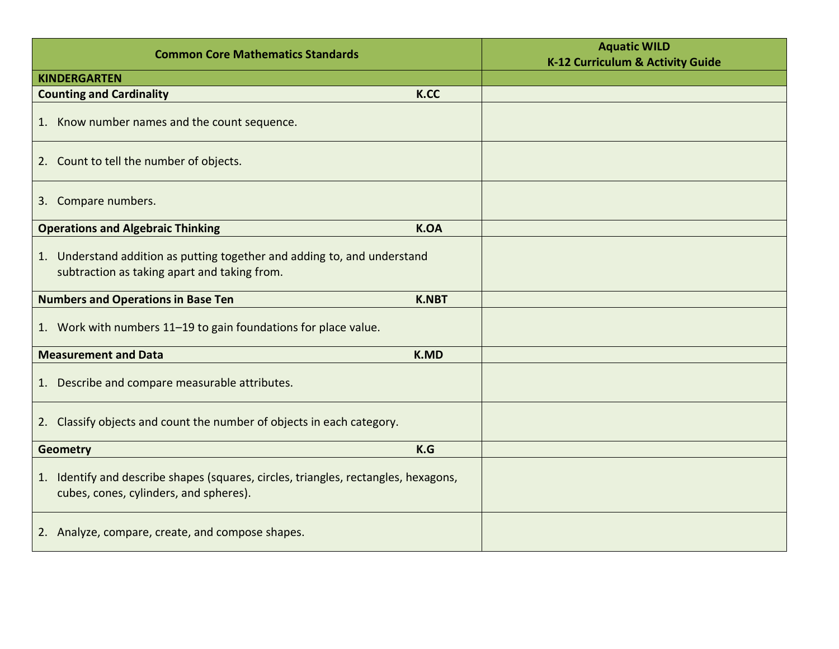| <b>Common Core Mathematics Standards</b>                                                                                      |              | <b>Aquatic WILD</b><br>K-12 Curriculum & Activity Guide |
|-------------------------------------------------------------------------------------------------------------------------------|--------------|---------------------------------------------------------|
| <b>KINDERGARTEN</b>                                                                                                           |              |                                                         |
| <b>Counting and Cardinality</b>                                                                                               | K.CC         |                                                         |
| 1. Know number names and the count sequence.                                                                                  |              |                                                         |
| 2. Count to tell the number of objects.                                                                                       |              |                                                         |
| 3. Compare numbers.                                                                                                           |              |                                                         |
| <b>Operations and Algebraic Thinking</b>                                                                                      | <b>K.OA</b>  |                                                         |
| 1. Understand addition as putting together and adding to, and understand<br>subtraction as taking apart and taking from.      |              |                                                         |
| <b>Numbers and Operations in Base Ten</b>                                                                                     | <b>K.NBT</b> |                                                         |
| 1. Work with numbers 11-19 to gain foundations for place value.                                                               |              |                                                         |
| <b>Measurement and Data</b>                                                                                                   | <b>K.MD</b>  |                                                         |
| 1. Describe and compare measurable attributes.                                                                                |              |                                                         |
| 2. Classify objects and count the number of objects in each category.                                                         |              |                                                         |
| <b>Geometry</b>                                                                                                               | K.G          |                                                         |
| 1. Identify and describe shapes (squares, circles, triangles, rectangles, hexagons,<br>cubes, cones, cylinders, and spheres). |              |                                                         |
| 2. Analyze, compare, create, and compose shapes.                                                                              |              |                                                         |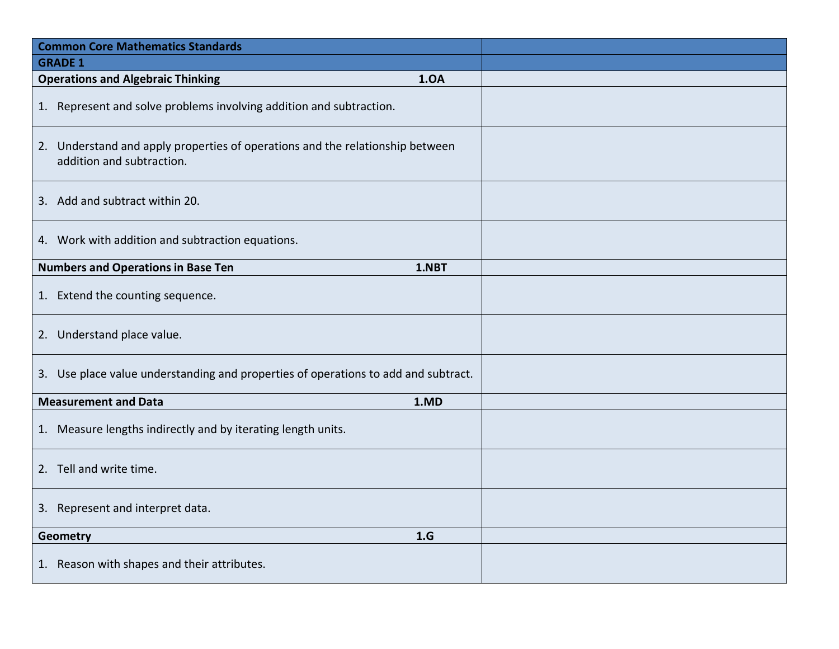| <b>Common Core Mathematics Standards</b>                                                                   |  |
|------------------------------------------------------------------------------------------------------------|--|
| <b>GRADE 1</b>                                                                                             |  |
| <b>Operations and Algebraic Thinking</b><br>1.0A                                                           |  |
| 1. Represent and solve problems involving addition and subtraction.                                        |  |
| 2. Understand and apply properties of operations and the relationship between<br>addition and subtraction. |  |
| 3. Add and subtract within 20.                                                                             |  |
| 4. Work with addition and subtraction equations.                                                           |  |
| <b>Numbers and Operations in Base Ten</b><br>1.NBT                                                         |  |
| 1. Extend the counting sequence.                                                                           |  |
| 2. Understand place value.                                                                                 |  |
| 3. Use place value understanding and properties of operations to add and subtract.                         |  |
| <b>Measurement and Data</b><br>1.MD                                                                        |  |
| 1. Measure lengths indirectly and by iterating length units.                                               |  |
| 2. Tell and write time.                                                                                    |  |
| 3. Represent and interpret data.                                                                           |  |
| 1.G<br>Geometry                                                                                            |  |
| 1. Reason with shapes and their attributes.                                                                |  |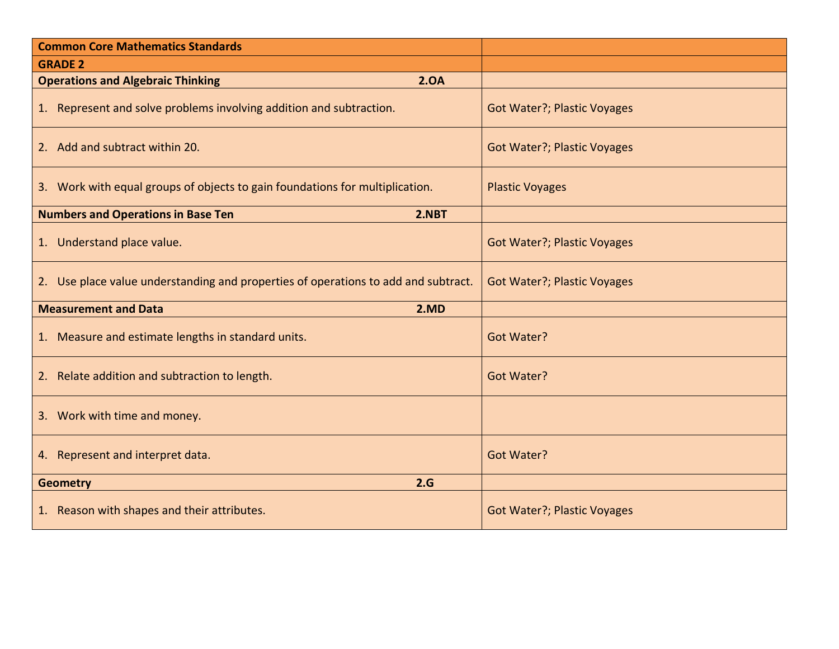| <b>Common Core Mathematics Standards</b>                                           |                                    |
|------------------------------------------------------------------------------------|------------------------------------|
| <b>GRADE 2</b>                                                                     |                                    |
| <b>Operations and Algebraic Thinking</b><br>2.0A                                   |                                    |
| 1. Represent and solve problems involving addition and subtraction.                | <b>Got Water?; Plastic Voyages</b> |
| 2. Add and subtract within 20.                                                     | <b>Got Water?; Plastic Voyages</b> |
| 3. Work with equal groups of objects to gain foundations for multiplication.       | <b>Plastic Voyages</b>             |
| <b>Numbers and Operations in Base Ten</b><br>2.NBT                                 |                                    |
| 1. Understand place value.                                                         | <b>Got Water?; Plastic Voyages</b> |
| 2. Use place value understanding and properties of operations to add and subtract. | <b>Got Water?; Plastic Voyages</b> |
| <b>Measurement and Data</b><br>2.MD                                                |                                    |
| 1. Measure and estimate lengths in standard units.                                 | <b>Got Water?</b>                  |
| 2. Relate addition and subtraction to length.                                      | <b>Got Water?</b>                  |
| 3. Work with time and money.                                                       |                                    |
| 4. Represent and interpret data.                                                   | <b>Got Water?</b>                  |
| 2.G<br><b>Geometry</b>                                                             |                                    |
| 1. Reason with shapes and their attributes.                                        | <b>Got Water?; Plastic Voyages</b> |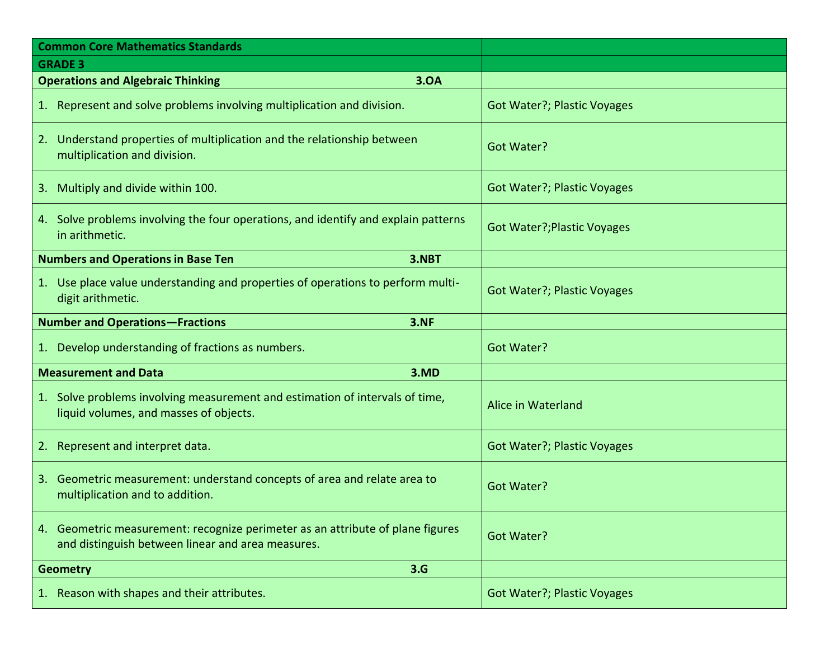| <b>Common Core Mathematics Standards</b>                                                                                            |                                    |
|-------------------------------------------------------------------------------------------------------------------------------------|------------------------------------|
| <b>GRADE 3</b>                                                                                                                      |                                    |
| 3.OA<br><b>Operations and Algebraic Thinking</b>                                                                                    |                                    |
| 1. Represent and solve problems involving multiplication and division.                                                              | <b>Got Water?; Plastic Voyages</b> |
| 2. Understand properties of multiplication and the relationship between<br>multiplication and division.                             | <b>Got Water?</b>                  |
| Multiply and divide within 100.<br>3.                                                                                               | <b>Got Water?; Plastic Voyages</b> |
| 4. Solve problems involving the four operations, and identify and explain patterns<br>in arithmetic.                                | <b>Got Water?; Plastic Voyages</b> |
| <b>Numbers and Operations in Base Ten</b><br>3.NBT                                                                                  |                                    |
| 1. Use place value understanding and properties of operations to perform multi-<br>digit arithmetic.                                | <b>Got Water?; Plastic Voyages</b> |
| <b>Number and Operations-Fractions</b><br><b>3.NF</b>                                                                               |                                    |
| 1. Develop understanding of fractions as numbers.                                                                                   | <b>Got Water?</b>                  |
| <b>Measurement and Data</b><br>3.MD                                                                                                 |                                    |
| 1. Solve problems involving measurement and estimation of intervals of time,<br>liquid volumes, and masses of objects.              | Alice in Waterland                 |
| Represent and interpret data.<br>2.                                                                                                 | <b>Got Water?; Plastic Voyages</b> |
| 3. Geometric measurement: understand concepts of area and relate area to<br>multiplication and to addition.                         | <b>Got Water?</b>                  |
| 4. Geometric measurement: recognize perimeter as an attribute of plane figures<br>and distinguish between linear and area measures. | <b>Got Water?</b>                  |
| 3.G<br><b>Geometry</b>                                                                                                              |                                    |
| 1. Reason with shapes and their attributes.                                                                                         | <b>Got Water?; Plastic Voyages</b> |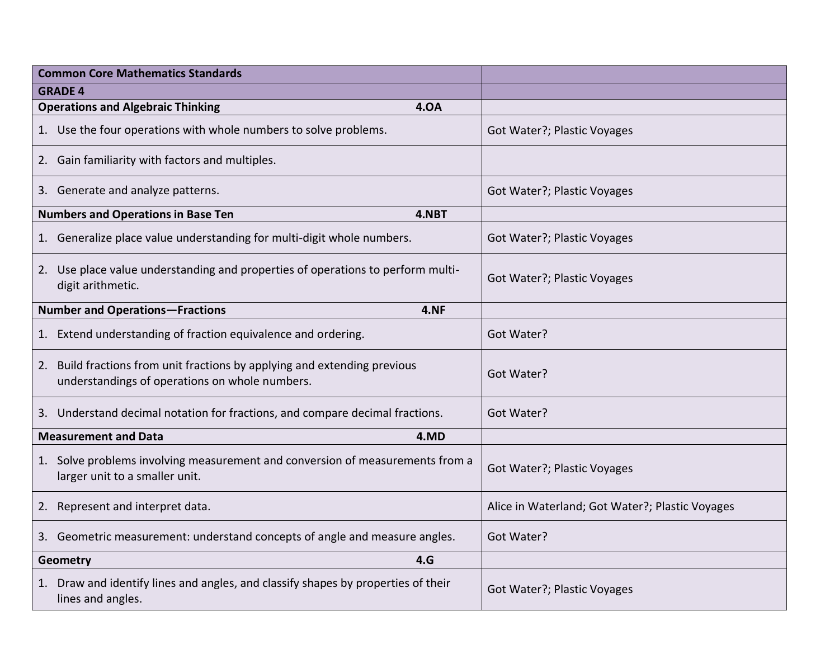| <b>Common Core Mathematics Standards</b>                                                                                       |                                                 |
|--------------------------------------------------------------------------------------------------------------------------------|-------------------------------------------------|
| <b>GRADE 4</b>                                                                                                                 |                                                 |
| <b>Operations and Algebraic Thinking</b><br><b>4.0A</b>                                                                        |                                                 |
| 1. Use the four operations with whole numbers to solve problems.                                                               | Got Water?; Plastic Voyages                     |
| 2. Gain familiarity with factors and multiples.                                                                                |                                                 |
| 3. Generate and analyze patterns.                                                                                              | Got Water?; Plastic Voyages                     |
| <b>Numbers and Operations in Base Ten</b><br>4.NBT                                                                             |                                                 |
| 1. Generalize place value understanding for multi-digit whole numbers.                                                         | Got Water?; Plastic Voyages                     |
| 2. Use place value understanding and properties of operations to perform multi-<br>digit arithmetic.                           | Got Water?; Plastic Voyages                     |
| <b>Number and Operations-Fractions</b><br>4.NF                                                                                 |                                                 |
| 1. Extend understanding of fraction equivalence and ordering.                                                                  | Got Water?                                      |
| Build fractions from unit fractions by applying and extending previous<br>2.<br>understandings of operations on whole numbers. | Got Water?                                      |
| 3. Understand decimal notation for fractions, and compare decimal fractions.                                                   | Got Water?                                      |
| <b>Measurement and Data</b><br>4.MD                                                                                            |                                                 |
| 1. Solve problems involving measurement and conversion of measurements from a<br>larger unit to a smaller unit.                | Got Water?; Plastic Voyages                     |
| 2. Represent and interpret data.                                                                                               | Alice in Waterland; Got Water?; Plastic Voyages |
| 3. Geometric measurement: understand concepts of angle and measure angles.                                                     | Got Water?                                      |
| 4.G<br>Geometry                                                                                                                |                                                 |
| 1. Draw and identify lines and angles, and classify shapes by properties of their<br>lines and angles.                         | Got Water?; Plastic Voyages                     |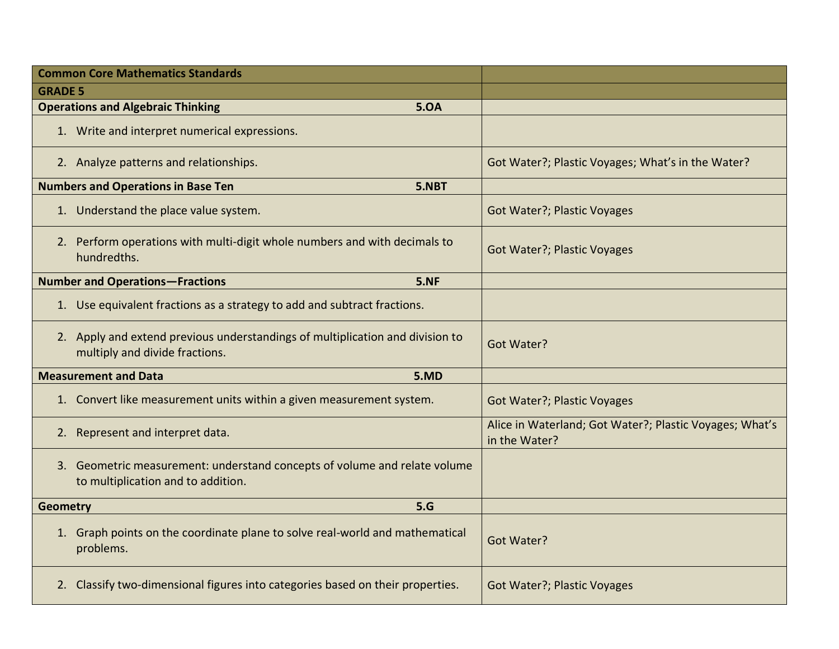| <b>Common Core Mathematics Standards</b>                                                                        |                                                                          |
|-----------------------------------------------------------------------------------------------------------------|--------------------------------------------------------------------------|
| <b>GRADE 5</b>                                                                                                  |                                                                          |
| <b>Operations and Algebraic Thinking</b><br><b>5.0A</b>                                                         |                                                                          |
| 1. Write and interpret numerical expressions.                                                                   |                                                                          |
| 2. Analyze patterns and relationships.                                                                          | Got Water?; Plastic Voyages; What's in the Water?                        |
| <b>Numbers and Operations in Base Ten</b><br>5.NBT                                                              |                                                                          |
| 1. Understand the place value system.                                                                           | <b>Got Water?; Plastic Voyages</b>                                       |
| 2. Perform operations with multi-digit whole numbers and with decimals to<br>hundredths.                        | <b>Got Water?; Plastic Voyages</b>                                       |
| <b>Number and Operations-Fractions</b><br>5.NF                                                                  |                                                                          |
| 1. Use equivalent fractions as a strategy to add and subtract fractions.                                        |                                                                          |
| 2. Apply and extend previous understandings of multiplication and division to<br>multiply and divide fractions. | Got Water?                                                               |
| <b>Measurement and Data</b><br>5.MD                                                                             |                                                                          |
| 1. Convert like measurement units within a given measurement system.                                            | <b>Got Water?; Plastic Voyages</b>                                       |
| 2. Represent and interpret data.                                                                                | Alice in Waterland; Got Water?; Plastic Voyages; What's<br>in the Water? |
| 3. Geometric measurement: understand concepts of volume and relate volume<br>to multiplication and to addition. |                                                                          |
| 5.G<br><b>Geometry</b>                                                                                          |                                                                          |
| 1. Graph points on the coordinate plane to solve real-world and mathematical<br>problems.                       | <b>Got Water?</b>                                                        |
| 2. Classify two-dimensional figures into categories based on their properties.                                  | <b>Got Water?; Plastic Voyages</b>                                       |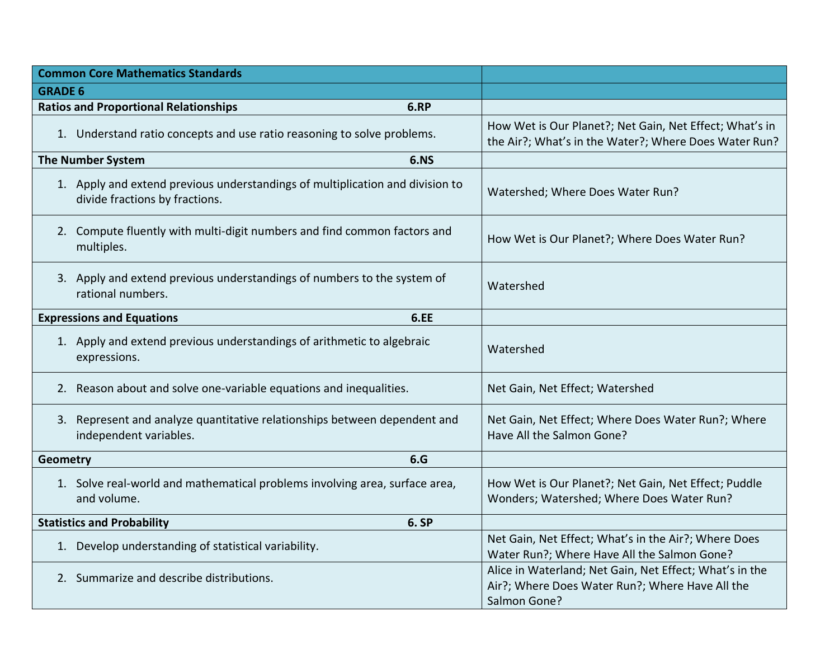| <b>Common Core Mathematics Standards</b>                                                                        |                                                                                                                            |
|-----------------------------------------------------------------------------------------------------------------|----------------------------------------------------------------------------------------------------------------------------|
| <b>GRADE 6</b>                                                                                                  |                                                                                                                            |
| <b>Ratios and Proportional Relationships</b><br>6.RP                                                            |                                                                                                                            |
| 1. Understand ratio concepts and use ratio reasoning to solve problems.                                         | How Wet is Our Planet?; Net Gain, Net Effect; What's in<br>the Air?; What's in the Water?; Where Does Water Run?           |
| <b>The Number System</b><br><b>6.NS</b>                                                                         |                                                                                                                            |
| 1. Apply and extend previous understandings of multiplication and division to<br>divide fractions by fractions. | Watershed; Where Does Water Run?                                                                                           |
| 2. Compute fluently with multi-digit numbers and find common factors and<br>multiples.                          | How Wet is Our Planet?; Where Does Water Run?                                                                              |
| 3. Apply and extend previous understandings of numbers to the system of<br>rational numbers.                    | Watershed                                                                                                                  |
| <b>Expressions and Equations</b><br>6.EE                                                                        |                                                                                                                            |
| 1. Apply and extend previous understandings of arithmetic to algebraic<br>expressions.                          | Watershed                                                                                                                  |
| 2. Reason about and solve one-variable equations and inequalities.                                              | Net Gain, Net Effect; Watershed                                                                                            |
| 3. Represent and analyze quantitative relationships between dependent and<br>independent variables.             | Net Gain, Net Effect; Where Does Water Run?; Where<br>Have All the Salmon Gone?                                            |
| 6.G<br>Geometry                                                                                                 |                                                                                                                            |
| 1. Solve real-world and mathematical problems involving area, surface area,<br>and volume.                      | How Wet is Our Planet?; Net Gain, Net Effect; Puddle<br>Wonders; Watershed; Where Does Water Run?                          |
| <b>Statistics and Probability</b><br>6. SP                                                                      |                                                                                                                            |
| 1. Develop understanding of statistical variability.                                                            | Net Gain, Net Effect; What's in the Air?; Where Does<br>Water Run?; Where Have All the Salmon Gone?                        |
| 2. Summarize and describe distributions.                                                                        | Alice in Waterland; Net Gain, Net Effect; What's in the<br>Air?; Where Does Water Run?; Where Have All the<br>Salmon Gone? |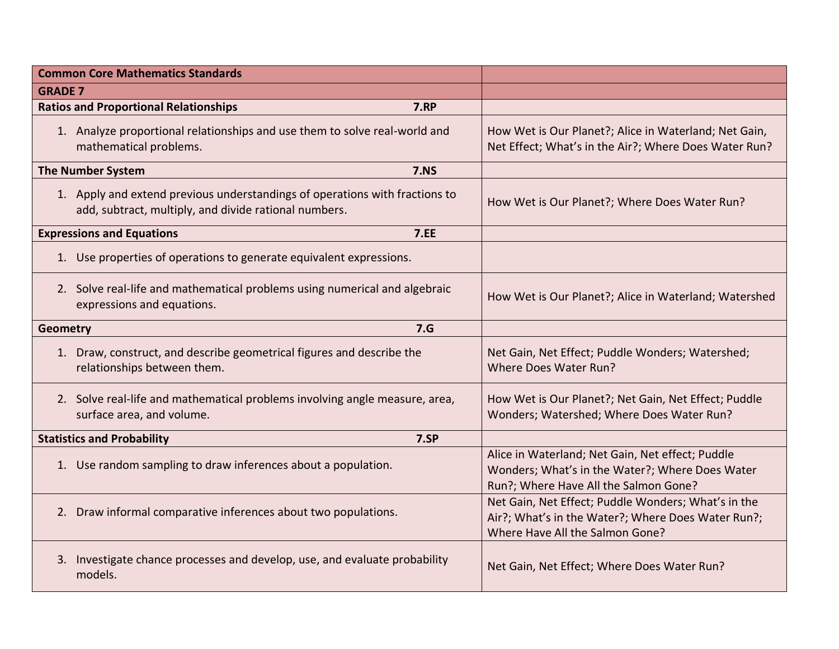| <b>Common Core Mathematics Standards</b>                                                                                             |                                                                                                                                              |
|--------------------------------------------------------------------------------------------------------------------------------------|----------------------------------------------------------------------------------------------------------------------------------------------|
| <b>GRADE 7</b>                                                                                                                       |                                                                                                                                              |
| <b>Ratios and Proportional Relationships</b><br><b>7.RP</b>                                                                          |                                                                                                                                              |
| 1. Analyze proportional relationships and use them to solve real-world and<br>mathematical problems.                                 | How Wet is Our Planet?; Alice in Waterland; Net Gain,<br>Net Effect; What's in the Air?; Where Does Water Run?                               |
| <b>7.NS</b><br><b>The Number System</b>                                                                                              |                                                                                                                                              |
| 1. Apply and extend previous understandings of operations with fractions to<br>add, subtract, multiply, and divide rational numbers. | How Wet is Our Planet?; Where Does Water Run?                                                                                                |
| <b>Expressions and Equations</b><br>7.EE                                                                                             |                                                                                                                                              |
| 1. Use properties of operations to generate equivalent expressions.                                                                  |                                                                                                                                              |
| 2. Solve real-life and mathematical problems using numerical and algebraic<br>expressions and equations.                             | How Wet is Our Planet?; Alice in Waterland; Watershed                                                                                        |
| 7.G<br><b>Geometry</b>                                                                                                               |                                                                                                                                              |
| 1. Draw, construct, and describe geometrical figures and describe the<br>relationships between them.                                 | Net Gain, Net Effect; Puddle Wonders; Watershed;<br><b>Where Does Water Run?</b>                                                             |
| 2. Solve real-life and mathematical problems involving angle measure, area,<br>surface area, and volume.                             | How Wet is Our Planet?; Net Gain, Net Effect; Puddle<br>Wonders; Watershed; Where Does Water Run?                                            |
| <b>Statistics and Probability</b><br>7.SP                                                                                            |                                                                                                                                              |
| 1. Use random sampling to draw inferences about a population.                                                                        | Alice in Waterland; Net Gain, Net effect; Puddle<br>Wonders; What's in the Water?; Where Does Water<br>Run?; Where Have All the Salmon Gone? |
| 2. Draw informal comparative inferences about two populations.                                                                       | Net Gain, Net Effect; Puddle Wonders; What's in the<br>Air?; What's in the Water?; Where Does Water Run?;<br>Where Have All the Salmon Gone? |
| 3. Investigate chance processes and develop, use, and evaluate probability<br>models.                                                | Net Gain, Net Effect; Where Does Water Run?                                                                                                  |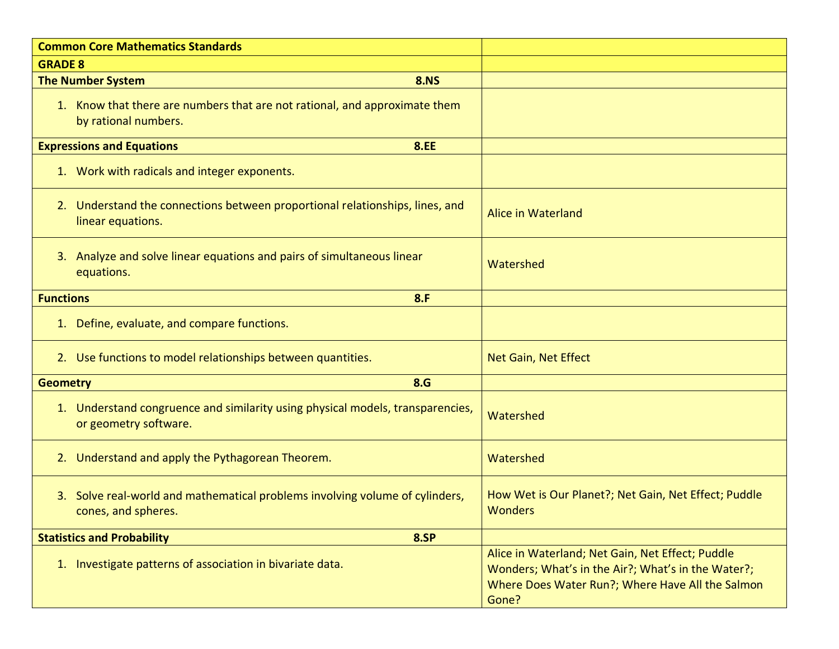| <b>Common Core Mathematics Standards</b>                                                                |                                                                                                                                                                     |
|---------------------------------------------------------------------------------------------------------|---------------------------------------------------------------------------------------------------------------------------------------------------------------------|
| <b>GRADE 8</b>                                                                                          |                                                                                                                                                                     |
| <b>8.NS</b><br><b>The Number System</b>                                                                 |                                                                                                                                                                     |
| 1. Know that there are numbers that are not rational, and approximate them<br>by rational numbers.      |                                                                                                                                                                     |
| <b>Expressions and Equations</b><br><b>8.EE</b>                                                         |                                                                                                                                                                     |
| 1. Work with radicals and integer exponents.                                                            |                                                                                                                                                                     |
| 2. Understand the connections between proportional relationships, lines, and<br>linear equations.       | Alice in Waterland                                                                                                                                                  |
| 3. Analyze and solve linear equations and pairs of simultaneous linear<br>equations.                    | Watershed                                                                                                                                                           |
| <b>Functions</b><br>8.F                                                                                 |                                                                                                                                                                     |
| 1. Define, evaluate, and compare functions.                                                             |                                                                                                                                                                     |
| 2. Use functions to model relationships between quantities.                                             | Net Gain, Net Effect                                                                                                                                                |
| 8.G<br><b>Geometry</b>                                                                                  |                                                                                                                                                                     |
| 1. Understand congruence and similarity using physical models, transparencies,<br>or geometry software. | Watershed                                                                                                                                                           |
| 2. Understand and apply the Pythagorean Theorem.                                                        | Watershed                                                                                                                                                           |
| 3. Solve real-world and mathematical problems involving volume of cylinders,<br>cones, and spheres.     | How Wet is Our Planet?; Net Gain, Net Effect; Puddle<br><b>Wonders</b>                                                                                              |
| <b>8.SP</b><br><b>Statistics and Probability</b>                                                        |                                                                                                                                                                     |
| 1. Investigate patterns of association in bivariate data.                                               | Alice in Waterland; Net Gain, Net Effect; Puddle<br>Wonders; What's in the Air?; What's in the Water?;<br>Where Does Water Run?; Where Have All the Salmon<br>Gone? |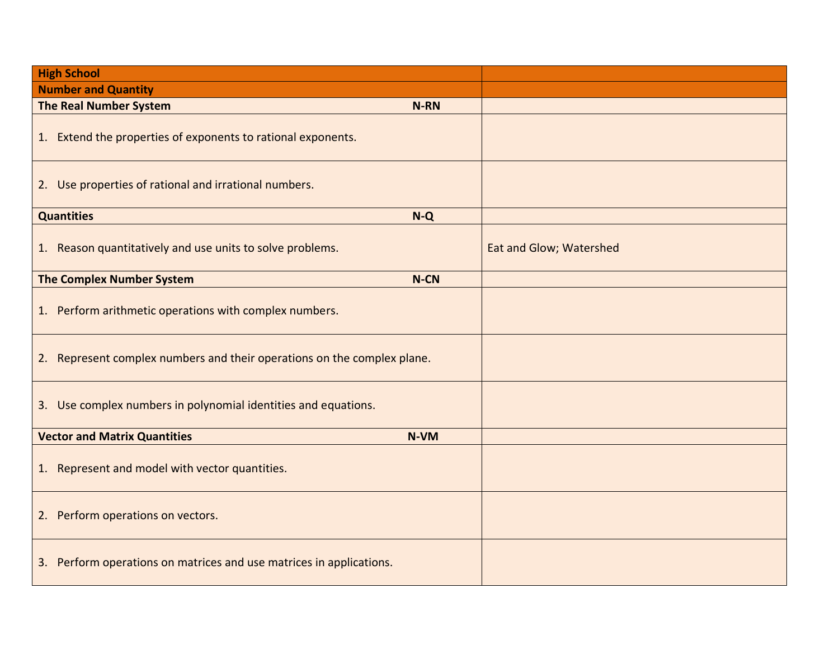| <b>High School</b>                                                      |                         |
|-------------------------------------------------------------------------|-------------------------|
| <b>Number and Quantity</b>                                              |                         |
| <b>The Real Number System</b><br><b>N-RN</b>                            |                         |
| 1. Extend the properties of exponents to rational exponents.            |                         |
| 2. Use properties of rational and irrational numbers.                   |                         |
| <b>Quantities</b><br>$N-Q$                                              |                         |
| Reason quantitatively and use units to solve problems.<br>1.            | Eat and Glow; Watershed |
| <b>The Complex Number System</b><br>N-CN                                |                         |
| 1. Perform arithmetic operations with complex numbers.                  |                         |
| 2. Represent complex numbers and their operations on the complex plane. |                         |
| 3. Use complex numbers in polynomial identities and equations.          |                         |
| <b>Vector and Matrix Quantities</b><br>N-VM                             |                         |
| 1. Represent and model with vector quantities.                          |                         |
| Perform operations on vectors.<br>2.                                    |                         |
| 3. Perform operations on matrices and use matrices in applications.     |                         |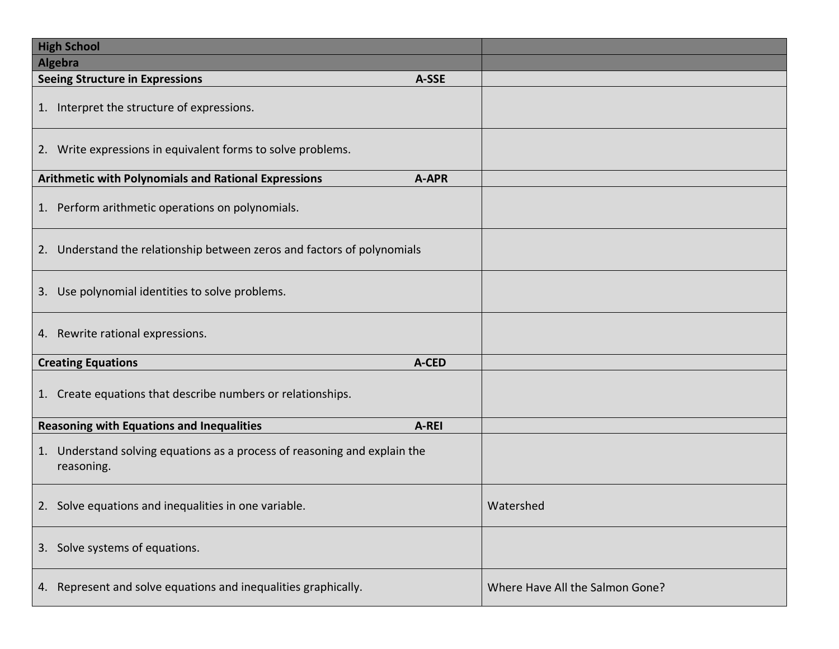| <b>High School</b>                                                                      |                                 |
|-----------------------------------------------------------------------------------------|---------------------------------|
| Algebra                                                                                 |                                 |
| <b>Seeing Structure in Expressions</b><br>A-SSE                                         |                                 |
| 1. Interpret the structure of expressions.                                              |                                 |
| 2. Write expressions in equivalent forms to solve problems.                             |                                 |
| Arithmetic with Polynomials and Rational Expressions<br>A-APR                           |                                 |
| 1. Perform arithmetic operations on polynomials.                                        |                                 |
| 2. Understand the relationship between zeros and factors of polynomials                 |                                 |
| 3. Use polynomial identities to solve problems.                                         |                                 |
| 4. Rewrite rational expressions.                                                        |                                 |
| <b>Creating Equations</b><br>A-CED                                                      |                                 |
| 1. Create equations that describe numbers or relationships.                             |                                 |
| <b>Reasoning with Equations and Inequalities</b><br>A-REI                               |                                 |
| 1. Understand solving equations as a process of reasoning and explain the<br>reasoning. |                                 |
| 2. Solve equations and inequalities in one variable.                                    | Watershed                       |
| 3. Solve systems of equations.                                                          |                                 |
| 4. Represent and solve equations and inequalities graphically.                          | Where Have All the Salmon Gone? |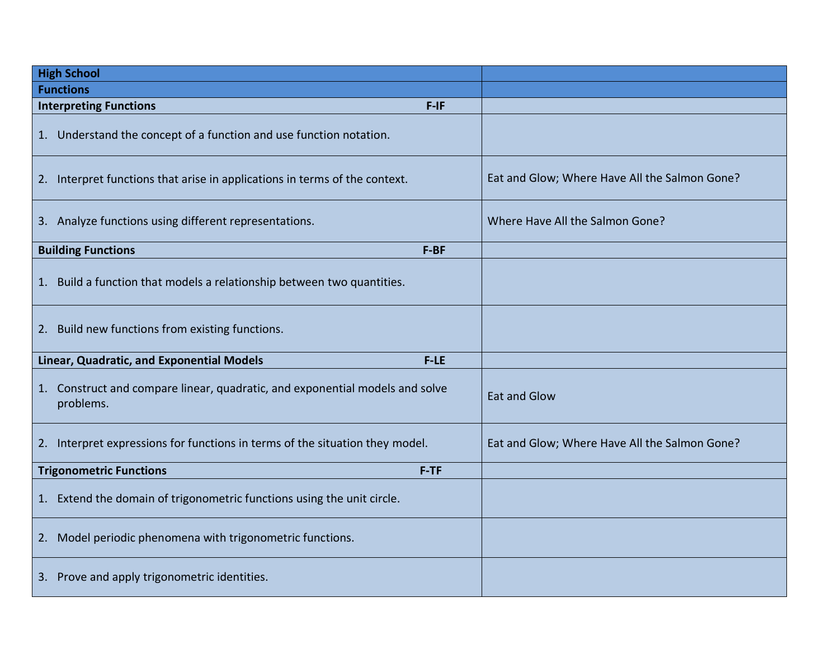| <b>High School</b>                                                                           |                                               |
|----------------------------------------------------------------------------------------------|-----------------------------------------------|
| <b>Functions</b>                                                                             |                                               |
| <b>Interpreting Functions</b><br>$F-IF$                                                      |                                               |
| Understand the concept of a function and use function notation.<br>1.                        |                                               |
| Interpret functions that arise in applications in terms of the context.<br>2.                | Eat and Glow; Where Have All the Salmon Gone? |
| 3. Analyze functions using different representations.                                        | Where Have All the Salmon Gone?               |
| <b>Building Functions</b><br>F-BF                                                            |                                               |
| 1. Build a function that models a relationship between two quantities.                       |                                               |
| 2. Build new functions from existing functions.                                              |                                               |
| Linear, Quadratic, and Exponential Models<br>$F-LE$                                          |                                               |
| Construct and compare linear, quadratic, and exponential models and solve<br>1.<br>problems. | <b>Eat and Glow</b>                           |
| Interpret expressions for functions in terms of the situation they model.<br>2.              | Eat and Glow; Where Have All the Salmon Gone? |
| <b>Trigonometric Functions</b><br>$F-TF$                                                     |                                               |
| Extend the domain of trigonometric functions using the unit circle.<br>1.                    |                                               |
| Model periodic phenomena with trigonometric functions.<br>2.                                 |                                               |
| 3. Prove and apply trigonometric identities.                                                 |                                               |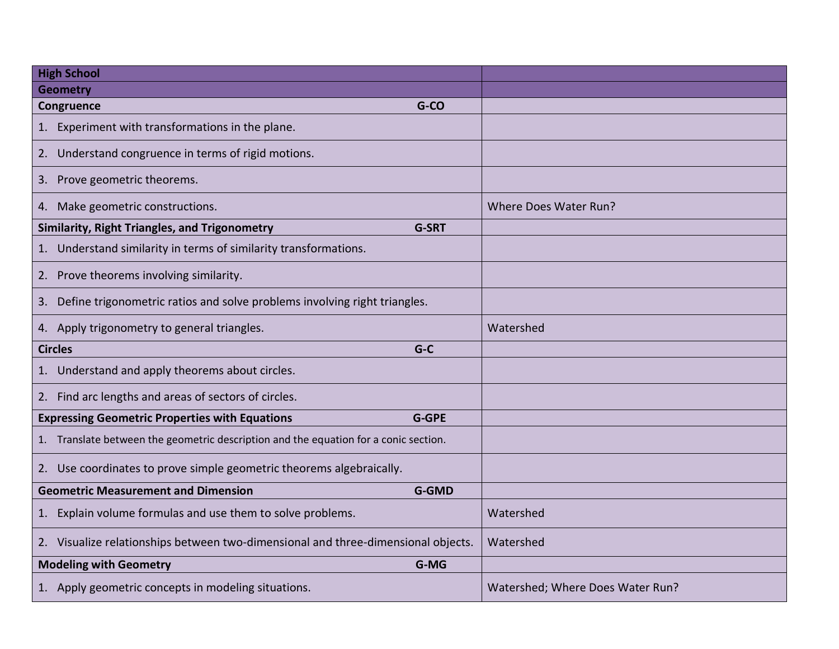| <b>High School</b>                                                                   |                                  |
|--------------------------------------------------------------------------------------|----------------------------------|
| <b>Geometry</b>                                                                      |                                  |
| G-CO<br>Congruence                                                                   |                                  |
| 1. Experiment with transformations in the plane.                                     |                                  |
| 2. Understand congruence in terms of rigid motions.                                  |                                  |
| 3. Prove geometric theorems.                                                         |                                  |
| 4. Make geometric constructions.                                                     | Where Does Water Run?            |
| Similarity, Right Triangles, and Trigonometry<br><b>G-SRT</b>                        |                                  |
| 1. Understand similarity in terms of similarity transformations.                     |                                  |
| 2. Prove theorems involving similarity.                                              |                                  |
| 3. Define trigonometric ratios and solve problems involving right triangles.         |                                  |
| 4. Apply trigonometry to general triangles.                                          | Watershed                        |
| $G-C$<br><b>Circles</b>                                                              |                                  |
| 1. Understand and apply theorems about circles.                                      |                                  |
| 2. Find arc lengths and areas of sectors of circles.                                 |                                  |
| <b>Expressing Geometric Properties with Equations</b><br><b>G-GPE</b>                |                                  |
| 1. Translate between the geometric description and the equation for a conic section. |                                  |
| 2. Use coordinates to prove simple geometric theorems algebraically.                 |                                  |
| <b>Geometric Measurement and Dimension</b><br><b>G-GMD</b>                           |                                  |
| 1. Explain volume formulas and use them to solve problems.                           | Watershed                        |
| 2. Visualize relationships between two-dimensional and three-dimensional objects.    | Watershed                        |
| G-MG<br><b>Modeling with Geometry</b>                                                |                                  |
| 1. Apply geometric concepts in modeling situations.                                  | Watershed; Where Does Water Run? |